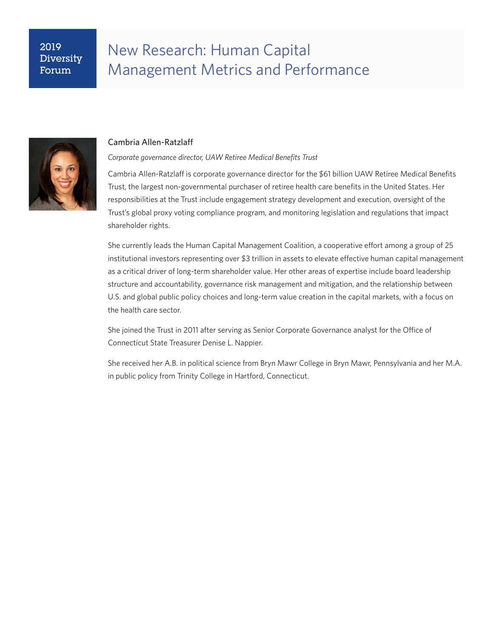## 2019 Diversity Forum

# New Research: Human Capital Management Metrics and Performance



### Cambria Allen-Ratzlaff

*Corporate governance director, UAW Retiree Medical Benefits Trust*

Cambria Allen-Ratzlaff is corporate governance director for the \$61 billion UAW Retiree Medical Benefits Trust, the largest non-governmental purchaser of retiree health care benefits in the United States. Her responsibilities at the Trust include engagement strategy development and execution, oversight of the Trust's global proxy voting compliance program, and monitoring legislation and regulations that impact shareholder rights.

She currently leads the Human Capital Management Coalition, a cooperative effort among a group of 25 institutional investors representing over \$3 trillion in assets to elevate effective human capital management as a critical driver of long-term shareholder value. Her other areas of expertise include board leadership structure and accountability, governance risk management and mitigation, and the relationship between U.S. and global public policy choices and long-term value creation in the capital markets, with a focus on the health care sector.

She joined the Trust in 2011 after serving as Senior Corporate Governance analyst for the Office of Connecticut State Treasurer Denise L. Nappier.

She received her A.B. in political science from Bryn Mawr College in Bryn Mawr, Pennsylvania and her M.A. in public policy from Trinity College in Hartford, Connecticut.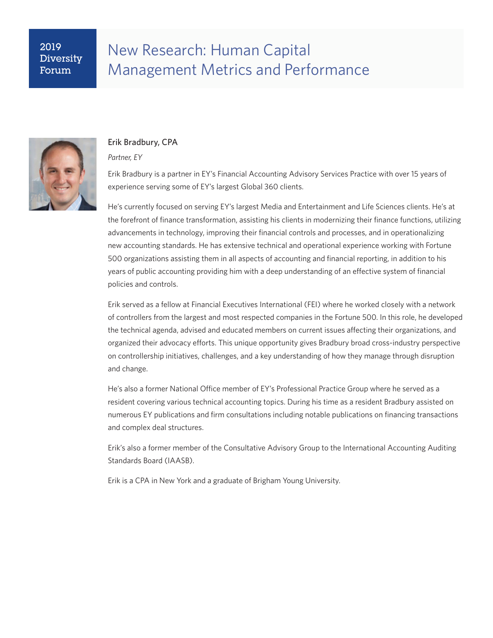## 2019 Diversity Forum

# New Research: Human Capital Management Metrics and Performance



### Erik Bradbury, CPA

#### *Partner, EY*

Erik Bradbury is a partner in EY's Financial Accounting Advisory Services Practice with over 15 years of experience serving some of EY's largest Global 360 clients.

He's currently focused on serving EY's largest Media and Entertainment and Life Sciences clients. He's at the forefront of finance transformation, assisting his clients in modernizing their finance functions, utilizing advancements in technology, improving their financial controls and processes, and in operationalizing new accounting standards. He has extensive technical and operational experience working with Fortune 500 organizations assisting them in all aspects of accounting and financial reporting, in addition to his years of public accounting providing him with a deep understanding of an effective system of financial policies and controls.

Erik served as a fellow at Financial Executives International (FEI) where he worked closely with a network of controllers from the largest and most respected companies in the Fortune 500. In this role, he developed the technical agenda, advised and educated members on current issues affecting their organizations, and organized their advocacy efforts. This unique opportunity gives Bradbury broad cross-industry perspective on controllership initiatives, challenges, and a key understanding of how they manage through disruption and change.

He's also a former National Office member of EY's Professional Practice Group where he served as a resident covering various technical accounting topics. During his time as a resident Bradbury assisted on numerous EY publications and firm consultations including notable publications on financing transactions and complex deal structures.

Erik's also a former member of the Consultative Advisory Group to the International Accounting Auditing Standards Board (IAASB).

Erik is a CPA in New York and a graduate of Brigham Young University.